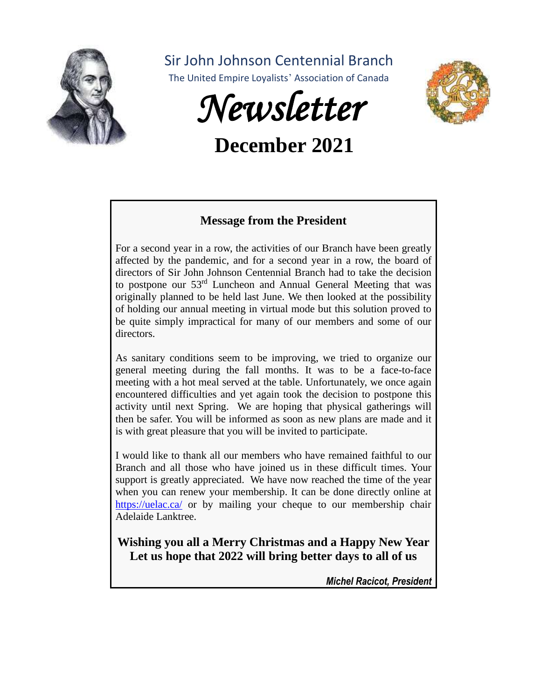

Sir John Johnson Centennial Branch

The United Empire Loyalists' Association of Canada



# **December 2021**



### **Message from the President**

For a second year in a row, the activities of our Branch have been greatly affected by the pandemic, and for a second year in a row, the board of directors of Sir John Johnson Centennial Branch had to take the decision to postpone our  $53<sup>rd</sup>$  Luncheon and Annual General Meeting that was originally planned to be held last June. We then looked at the possibility of holding our annual meeting in virtual mode but this solution proved to be quite simply impractical for many of our members and some of our directors.

As sanitary conditions seem to be improving, we tried to organize our general meeting during the fall months. It was to be a face-to-face meeting with a hot meal served at the table. Unfortunately, we once again encountered difficulties and yet again took the decision to postpone this activity until next Spring. We are hoping that physical gatherings will then be safer. You will be informed as soon as new plans are made and it is with great pleasure that you will be invited to participate.

I would like to thank all our members who have remained faithful to our Branch and all those who have joined us in these difficult times. Your support is greatly appreciated. We have now reached the time of the year when you can renew your membership. It can be done directly online at <https://uelac.ca/> or by mailing your cheque to our membership chair Adelaide Lanktree.

**Wishing you all a Merry Christmas and a Happy New Year Let us hope that 2022 will bring better days to all of us**

*Michel Racicot, President*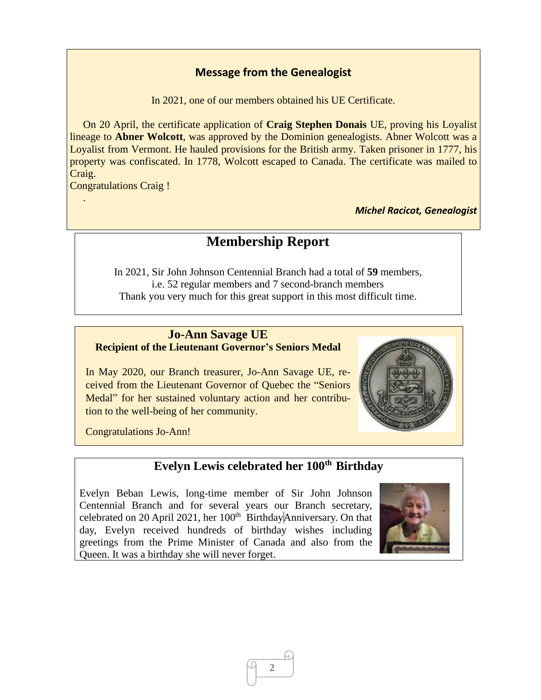### **Message from the Genealogist**

In 2021, one of our members obtained his UE Certificate.

 On 20 April, the certificate application of **Craig Stephen Donais** UE, proving his Loyalist lineage to **Abner Wolcott**, was approved by the Dominion genealogists. Abner Wolcott was a Loyalist from Vermont. He hauled provisions for the British army. Taken prisoner in 1777, his property was confiscated. In 1778, Wolcott escaped to Canada. The certificate was mailed to Craig.

Congratulations Craig !

.

*Michel Racicot, Genealogist*

### **Membership Report**

In 2021, Sir John Johnson Centennial Branch had a total of **59** members, i.e. 52 regular members and 7 second-branch members Thank you very much for this great support in this most difficult time.

#### **Jo-Ann Savage UE Recipient of the Lieutenant Governor's Seniors Medal**

In May 2020, our Branch treasurer, Jo-Ann Savage UE, received from the Lieutenant Governor of Quebec the "Seniors Medal" for her sustained voluntary action and her contribution to the well-being of her community.



Congratulations Jo-Ann!

### **Evelyn Lewis celebrated her 100th Birthday**

Evelyn Beban Lewis, long-time member of Sir John Johnson Centennial Branch and for several years our Branch secretary, celebrated on 20 April 2021, her 100<sup>th</sup> BirthdayAnniversary. On that day, Evelyn received hundreds of birthday wishes including greetings from the Prime Minister of Canada and also from the Queen. It was a birthday she will never forget.



**2**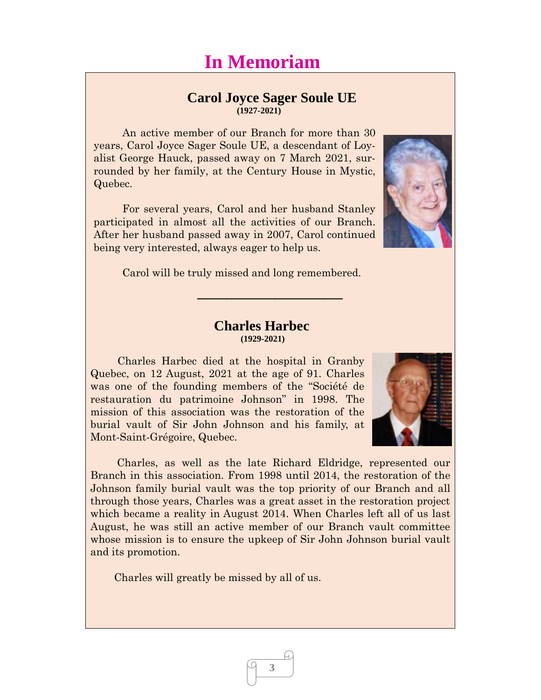# **In Memoriam**

# **Carol Joyce Sager Soule UE**

 **(1927-2021)**

An active member of our Branch for more than 30 years, Carol Joyce Sager Soule UE, a descendant of Loyalist George Hauck, passed away on 7 March 2021, surrounded by her family, at the Century House in Mystic, Quebec.

For several years, Carol and her husband Stanley participated in almost all the activities of our Branch. After her husband passed away in 2007, Carol continued being very interested, always eager to help us.



#### **Charles Harbec (1929-2021)**

 $\overline{\phantom{a}}$  , where  $\overline{\phantom{a}}$ 

 Charles Harbec died at the hospital in Granby Quebec, on 12 August, 2021 at the age of 91. Charles was one of the founding members of the "Société de restauration du patrimoine Johnson" in 1998. The mission of this association was the restoration of the burial vault of Sir John Johnson and his family, at Mont-Saint-Grégoire, Quebec.

 Charles, as well as the late Richard Eldridge, represented our Branch in this association. From 1998 until 2014, the restoration of the Johnson family burial vault was the top priority of our Branch and all through those years, Charles was a great asset in the restoration project which became a reality in August 2014. When Charles left all of us last August, he was still an active member of our Branch vault committee whose mission is to ensure the upkeep of Sir John Johnson burial vault and its promotion.

**3**

Charles will greatly be missed by all of us.



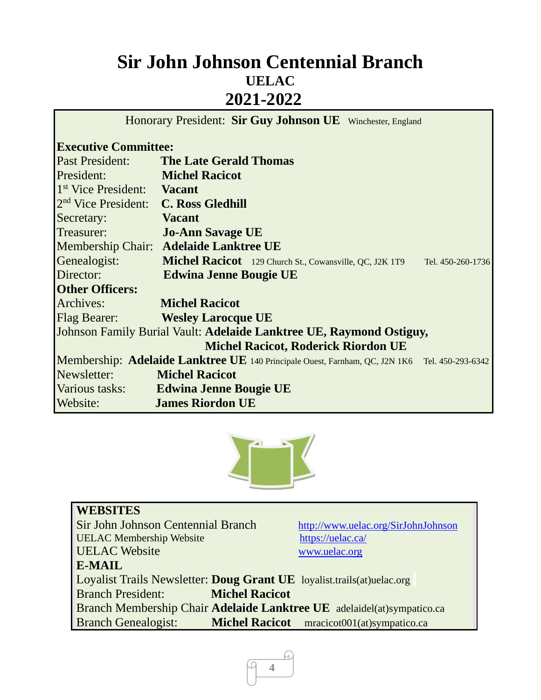## **Sir John Johnson Centennial Branch UELAC 2021-2022**

Honorary President: **Sir Guy Johnson UE** Winchester, England

### **Executive Committee:**

| <b>Past President:</b>                                              | <b>The Late Gerald Thomas</b>                                                                 |  |
|---------------------------------------------------------------------|-----------------------------------------------------------------------------------------------|--|
| President:                                                          | <b>Michel Racicot</b>                                                                         |  |
| 1 <sup>st</sup> Vice President:                                     | <b>Vacant</b>                                                                                 |  |
| $2nd$ Vice President:                                               | <b>C. Ross Gledhill</b>                                                                       |  |
| Secretary:                                                          | <b>Vacant</b>                                                                                 |  |
| Treasurer:                                                          | <b>Jo-Ann Savage UE</b>                                                                       |  |
|                                                                     | Membership Chair: Adelaide Lanktree UE                                                        |  |
| Genealogist:                                                        | <b>Michel Racicot</b> 129 Church St., Cowansville, QC, J2K 1T9<br>Tel. 450-260-1736           |  |
| Director:                                                           | <b>Edwina Jenne Bougie UE</b>                                                                 |  |
| <b>Other Officers:</b>                                              |                                                                                               |  |
| Archives:                                                           | <b>Michel Racicot</b>                                                                         |  |
| <b>Flag Bearer:</b>                                                 | <b>Wesley Larocque UE</b>                                                                     |  |
| Johnson Family Burial Vault: Adelaide Lanktree UE, Raymond Ostiguy, |                                                                                               |  |
|                                                                     | <b>Michel Racicot, Roderick Riordon UE</b>                                                    |  |
|                                                                     | Membership: Adelaide Lanktree UE 140 Principale Ouest, Farnham, QC, J2N 1K6 Tel. 450-293-6342 |  |
| Newsletter:                                                         | <b>Michel Racicot</b>                                                                         |  |
| Various tasks:                                                      | <b>Edwina Jenne Bougie UE</b>                                                                 |  |
| Website:                                                            | <b>James Riordon UE</b>                                                                       |  |



| <b>WEBSITES</b>                                                        |                                            |
|------------------------------------------------------------------------|--------------------------------------------|
| Sir John Johnson Centennial Branch                                     | http://www.uelac.org/SirJohnJohnson        |
| <b>UELAC Membership Website</b>                                        | https://uelac.ca/                          |
| <b>UELAC</b> Website                                                   | www.uelac.org                              |
| <b>E-MAIL</b>                                                          |                                            |
| Loyalist Trails Newsletter: Doug Grant UE loyalist.trails(at)uelac.org |                                            |
| <b>Branch President:</b><br><b>Michel Racicot</b>                      |                                            |
| Branch Membership Chair Adelaide Lanktree UE adelaidel(at)sympatico.ca |                                            |
| <b>Branch Genealogist:</b>                                             | Michel Racicot mracicot001(at)sympatico.ca |

ſч